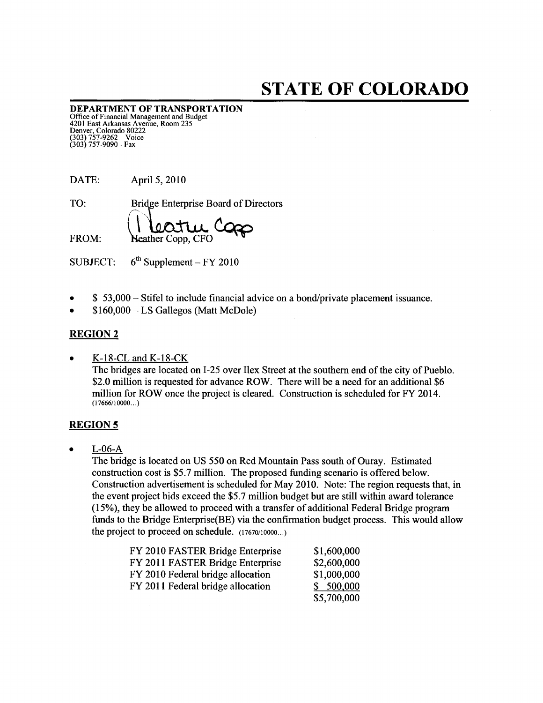# STATE OF COLORADO

DEPARTMENT OF TRANSPORTATION Office of Financial Management and Budget 4201 East Arkansas Avenue, Room 235 Denver, Colorado 80222 (303) 757-9262 — Voice (303) 757-9090 - Fax

DATE: April 5, 2010

TO: Bridge Enterprise Board of Directors

FROM: Neather Copp, CFO

SUBJECT:  $6^{th}$  Supplement – FY 2010

- \$ 53,000 Stifel to include financial advice on a bond/private placement issuance.
- \$160,000— LS Gallegos (Matt McDole)

#### REGION 2

• K-18-CL and K-18-CK

The bridges are located on I-25 over Ilex Street at the southern end of the city of Pueblo. \$2.0 million is requested for advance ROW. There will be a need for an additional \$6 million for ROW once the project is cleared. Construction is scheduled for FY 2014. (17666/10000...)

### REGION 5

 $\bullet$  L-06-A

The bridge is located on US 550 on Red Mountain Pass south of Ouray. Estimated construction cost is \$5.7 million. The proposed funding scenario is offered below. Construction advertisement is scheduled for May 2010. Note: The region requests that, in the event project bids exceed the \$5.7 million budget but are still within award tolerance (15%), they be allowed to proceed with a transfer of additional Federal Bridge program funds to the Bridge Enterprise(BE) via the confirmation budget process. This would allow the project to proceed on schedule. (17670/10000...)

| FY 2010 FASTER Bridge Enterprise  | \$1,600,000 |
|-----------------------------------|-------------|
| FY 2011 FASTER Bridge Enterprise  | \$2,600,000 |
| FY 2010 Federal bridge allocation | \$1,000,000 |
| FY 2011 Federal bridge allocation | \$500,000   |
|                                   | \$5,700,000 |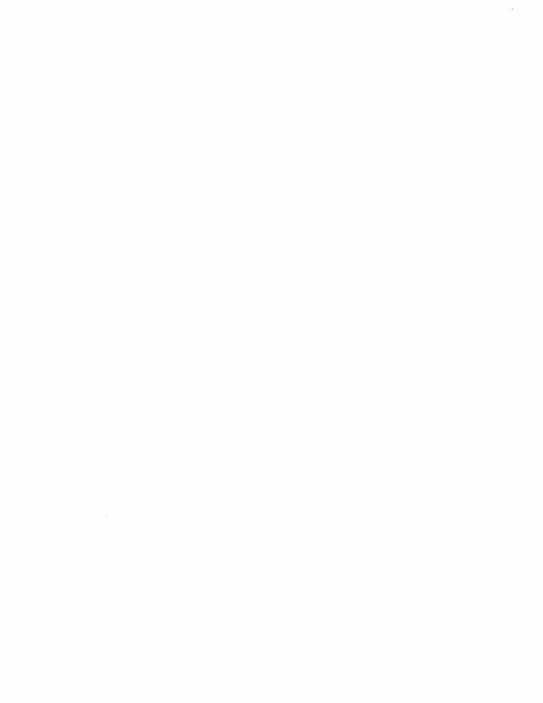$\frac{1}{2}$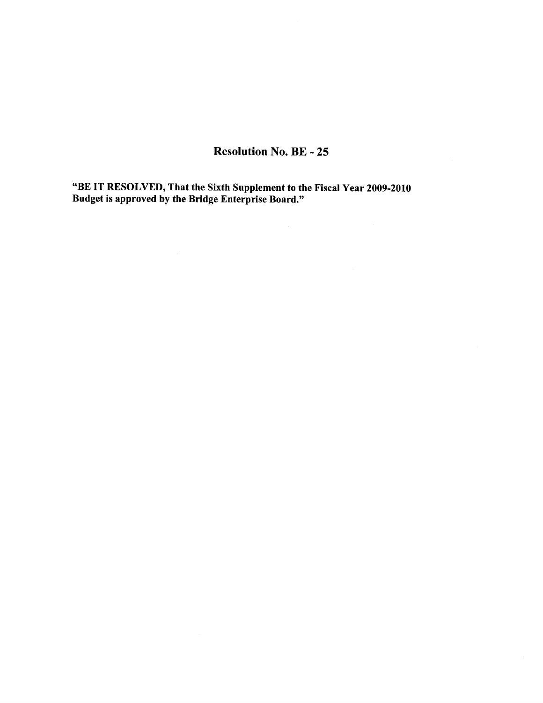## Resolution No. BE - 25

"BE IT RESOLVED, That the Sixth Supplement to the Fiscal Year 2009-2010 Budget is approved by the Bridge Enterprise Board."